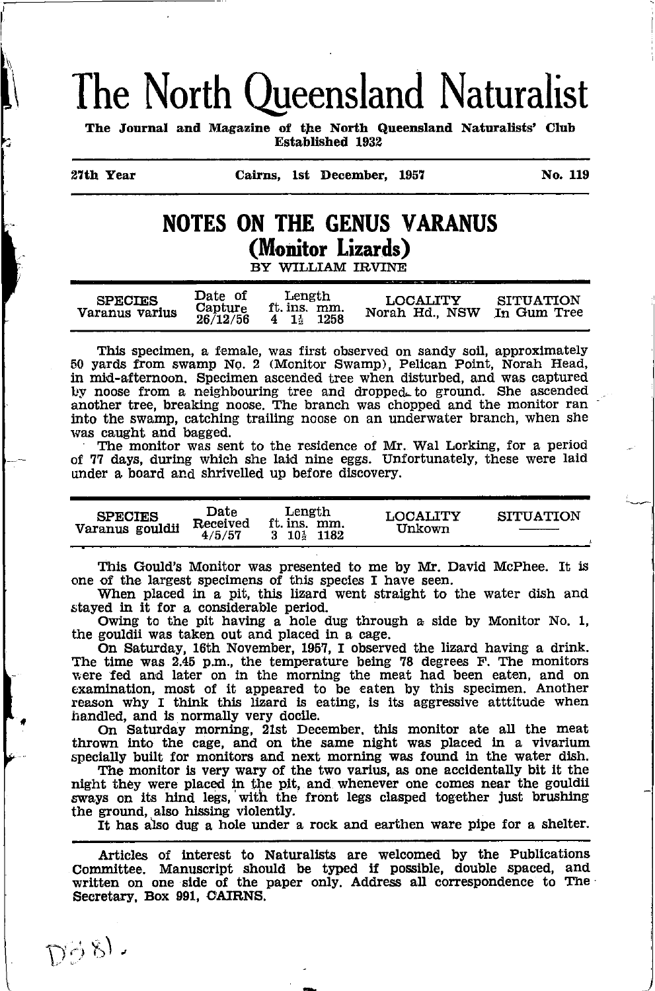# The North Queensland Naturalist

The Journal and Magazine of the North Queensland Naturalists' Club **Established 1932** 

27th Year

Cairns. 1st December. 1957

No. 119

# **NOTES ON THE GENUS VARANUS** (Monitor Lizards)

BY WILLIAM IRVINE

| $\mathbf{Date}$ of<br><b>SPECIES</b><br>Capture<br>Varanus varius<br>26/12/56 | Length<br>ft. ins. mm.<br>1258<br>$4 \t13$ | LOCALITY<br>Norah Hd., NSW | SITUATION<br>In Gum Tree |
|-------------------------------------------------------------------------------|--------------------------------------------|----------------------------|--------------------------|
|-------------------------------------------------------------------------------|--------------------------------------------|----------------------------|--------------------------|

This specimen, a female, was first observed on sandy soil, approximately 50 yards from swamp No. 2 (Monitor Swamp), Pelican Point, Norah Head, in mid-afternoon. Specimen ascended tree when disturbed, and was captured by noose from a neighbouring tree and dropped to ground. She ascended another tree, breaking noose. The branch was chopped and the monitor ran into the swamp, catching trailing noose on an underwater branch, when she was caught and bagged.

The monitor was sent to the residence of Mr. Wal Lorking, for a period of 77 days, during which she laid nine eggs. Unfortunately, these were laid under a board and shrivelled up before discovery.

| <b>SPECIES</b><br>Varanus gouldii | Date<br>Received<br>4/5/57 | Length<br>ft. ins. mm.<br>$3\quad 10\frac{1}{2}\quad 1182$ | LOCALITY<br>Unkown | <b>SITUATION</b> |
|-----------------------------------|----------------------------|------------------------------------------------------------|--------------------|------------------|
|                                   |                            |                                                            |                    |                  |

This Gould's Monitor was presented to me by Mr. David McPhee. It is one of the largest specimens of this species I have seen.

When placed in a pit, this lizard went straight to the water dish and stayed in it for a considerable period.

Owing to the pit having a hole dug through a side by Monitor No. 1, the gouldii was taken out and placed in a cage.

On Saturday, 16th November, 1957, I observed the lizard having a drink. The time was 2.45 p.m., the temperature being 78 degrees F. The monitors were fed and later on in the morning the meat had been eaten, and on examination, most of it appeared to be eaten by this specimen. Another reason why I think this lizard is eating, is its aggressive attitude when handled, and is normally very docile.

On Saturday morning, 21st December, this monitor ate all the meat thrown into the cage, and on the same night was placed in a vivarium specially built for monitors and next morning was found in the water dish.

The monitor is very wary of the two varius, as one accidentally bit it the night they were placed in the pit, and whenever one comes near the gouldii sways on its hind legs, with the front legs clasped together just brushing the ground, also hissing violently.

It has also dug a hole under a rock and earthen ware pipe for a shelter.

Articles of interest to Naturalists are welcomed by the Publications Committee. Manuscript should be typed if possible, double spaced, and written on one side of the paper only. Address all correspondence to The Secretary, Box 991, CAIRNS.

 $D\tilde{\varphi}$   $g$ ).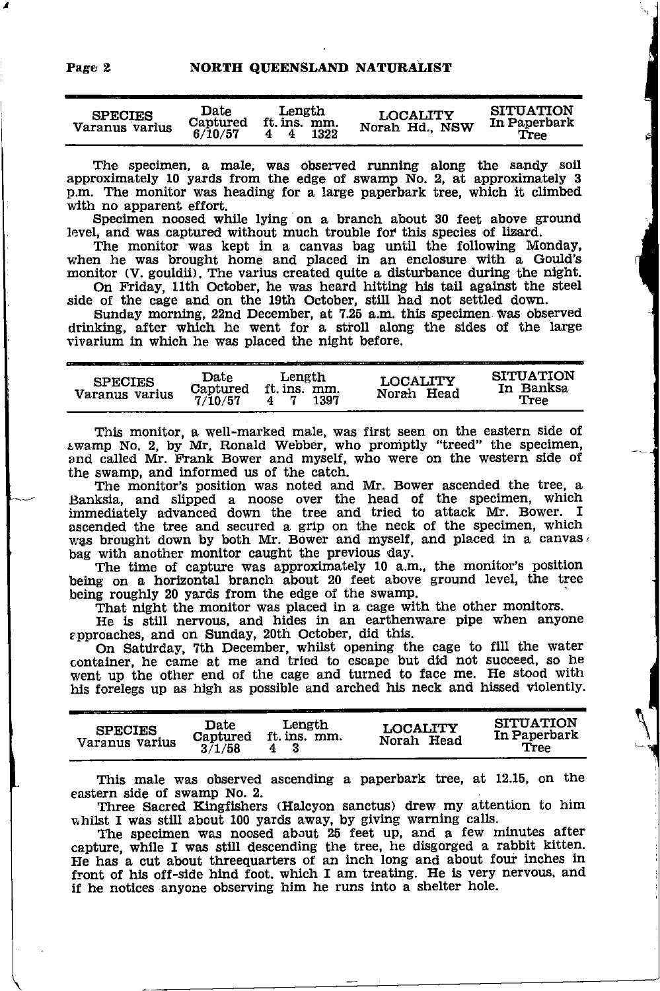| <b>SPECIES</b><br>Varanus varius | Date<br>Captured<br>6/10/57 | Length<br>ft. ins. mm.<br>1322 | <b>LOCALITY</b><br>Norah Hd., NSW | <b>SITUATION</b><br>In Paperbark<br>Tree |
|----------------------------------|-----------------------------|--------------------------------|-----------------------------------|------------------------------------------|
|----------------------------------|-----------------------------|--------------------------------|-----------------------------------|------------------------------------------|

The specimen, a male, was observed running along the sandy soil approximately 10 yards from the edge of swamp No. 2, at approximately 3 p.m. The monitor was heading for a large paperbark tree, which it climbed with no apparent effort.

Specimen noosed while lying on a branch about 30 feet above ground level, and was captured without much trouble fof this species of lizard.

The monitor was kept in a canvas bag until the following Monday, when he was brought home and placed in an enclosure with a Gould's monitor (V. gouldii). The varius created quite a disturbance during the night. On Friday, 11th October, he was heard hitting his tail against the steel

side of the cage and on the 19th October, still had not settled down.

Sunday morning, 22nd December, at 7.25 a.m. this specimen was observed drinking, after which he went for a stroll along the sides of the large vivarlum in which he was placed the night before.

| LOCALITY<br><b>SPECIES</b><br>ft. ins. mm.<br>Captured<br>Norah Head<br>Varanus varius<br>7/10/57<br>1397 | THERE'S IT IS NOT TO DRIVE A BETWEEN THE RESERVE TO A BETTER WAS ARRESTED FOR THE RESERVE TO THE RESERVE TO A RESERVE TO A RESERVE TO A RESERVE TO A RESERVE TO A RESERVE TO A RESERVE TO A RESERVE TO A RESERVE TO A RESERVE<br><b>SITUATION</b><br>In Banksa<br>Tree |
|-----------------------------------------------------------------------------------------------------------|------------------------------------------------------------------------------------------------------------------------------------------------------------------------------------------------------------------------------------------------------------------------|
|-----------------------------------------------------------------------------------------------------------|------------------------------------------------------------------------------------------------------------------------------------------------------------------------------------------------------------------------------------------------------------------------|

This monitor, a well-marked male, was first seen on the eastern side of swamp No. 2, by Mr. Ronald Webber, who promptly "treed" the specimen, and called Mr. Frank Bower and myself, who were on the western side of the swamp, and informed us of the catch.

The monitor's positlon was noted and Mr. Bower ascended the tree, a Banksia, and slipped a noose over the head of the specimen, which immediately advanced down the tree and tried to attack Mr. Bower. I ascended the tree and secured a grip on the neck of the specimen, which was brought down by both Mr. Bower and myself, and placed in a canvas, bag with another monitor caught the previous day.

The time of capture was approximately 10 a.m., the monitor's position being on a horizontal branch about 20 feet above ground level, the tree being roughly 20 yards from the edge of the swamp.

That night the monitor was placed in a cage with the other monitors.

He is still nervous, and hides in an earthenware pipe when anyone approaches, and on Sunday, 20th October, did this.

pproaches, and on Sunday, 20th October, did this.<br>On Saturday, 7th December, whilst opening the cage to fill the water container, he came at me and tried to escape but did not succeed, so he went up the other end of the cage and turned to face me. He stood with his forelegs up as high as possible and arched his neck and hissed violently.

| <b>SPECIES</b><br>Varanus varius | <b>Date</b><br>Captured<br>3/1/58 | Length<br>ft. ins. mm. | <b>LOCALITY</b><br>Head<br>Norah | <b>SITUATION</b><br>In Paperbark<br>Tree |
|----------------------------------|-----------------------------------|------------------------|----------------------------------|------------------------------------------|
|                                  |                                   |                        |                                  |                                          |

This male was observed ascending a paperbark tree, at 12.15, on the eastern slde of swamp No. 2.

Three Sacred Kingfishers (Halcyon sanctus) drew my attention to him whilst I was still about 100 yards away, by giving warning calls.

The specimen was noosed about 25 feet up, and a few minutes after capture, while I was still descending the tree, he disgorged a rabbit kitten. He has a cut about threequarters of an inch long and about four inches in front of his off-side hind foot, which I am treating. He is very nervous, and if he notices anyone observing him he runs into a shelter hole.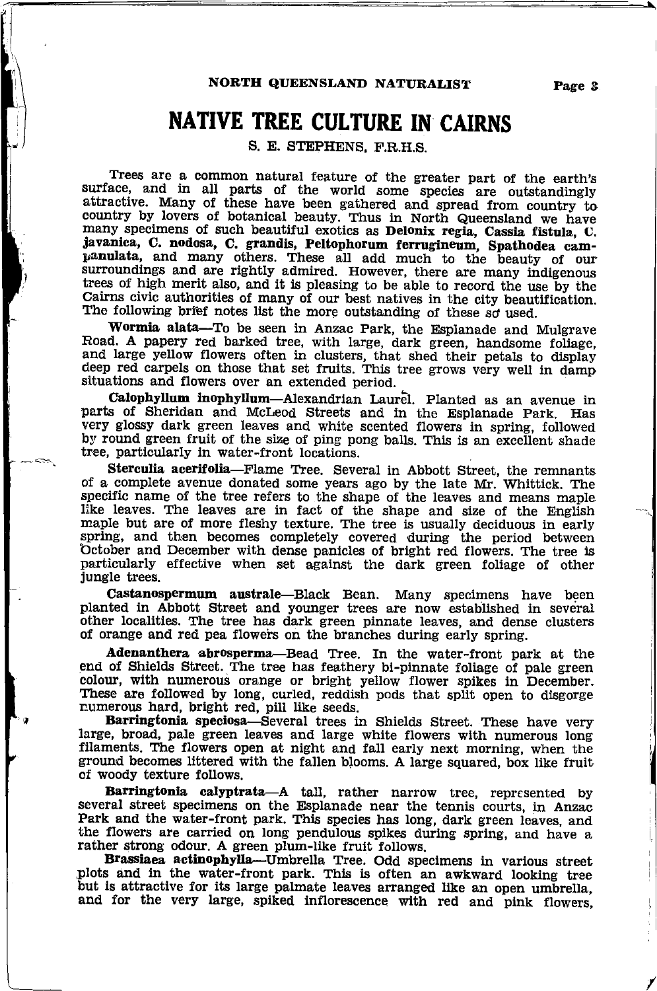### NORTH QUEENSLAND NATURALIST Page 3

# native tree culture in cairns

S. E. STEPHENS, F.R.H.S.

Trees are a common natural feature of the greater part of the earth's surface, and in all parts of the world some species are outstandingly attractive. Many of these have been gathered and spread from country to country by lovers of botanical beauty. Thus in North Queensland we have many specimens of such beautiful exotics as Delonix regia, Cassia fistula, C.<br>javanica, C. nodosa, C. grandis, Peltophorum ferrugineum, Spathodea campanulata, and many others. These all add much to the beauty of our surroundings and are rightly admired. However, there are many indigenous trees of high merit also, and it is pleasing to be able to record the use by the Cairns civic authorities of many of our best natives in the city beautification. The following brief notes list the more outstanding of these so used.

Wormia alata-To be seen in Anzac Park, the Esplanade and Mulgrave Road. A papery red barked tree, with large, dark green, handsome foliage, and large yellow flowers often in clusters, that shed their petals to display deep red carpels on those that set fruits. This tree grows very well in damp situatiors and flowers over an extended period.

Calophyllum inophyllum-Alexandrian Laurel. Planted as an avenue in parts of Sheridan and McLeod Streets and in the Esplanade Park. Has very glossy dark green leaves and white scented flowers in spring, followed by round green fruit of the size of ping pong balls. This is an excellent shade tree, particularly in water-front locations.

Sterculia aeerifolia-Flame Tree. Several in Abbott Street, the remnants of a complete avenue donated some years ago by the late Mr. Whittick. The specific name of the tree refers to the shape of the leaves and means maple like leaves. The leaves are in fact of the shape and size of the English maple but are of more fleshy texture. The tree is usually deciduous in early spring, and then becomes completely covered during the period between<br>October and December with dense panicles of bright red flowers. The tree is<br>particularly effective when set against the dark green foliage of other<br>jung

planted in Abbott Street and younger trees are now established in several other localities. The tree has dark green pinnate leaves, and dense clusters of orange and red pea floweis on the branches during early spring.

Adenanthera abrosperma-Bead Tree. In the water-front park at the end of Shields Street. The tree has feathery bi-pinnate foliage of pale green colour, with numerous orange or bright yellow flower spikes in December. These are followed by long, curled, reddish pods that split open to disgorge numerous hard, bright red, pill like seeds.

Barringtonia speciosa-Several trees in Shields Street. These have very large, broad, pale green leaves and large white flowers with numerous long filaments. The flowers open at night and fall early next morning, when the ground becomes littered with the fallen blooms. A large squared, box like fruit of woody texture follows.

Barringtonia calyptrata-A tall, rather narrow tree, represented by several street specimens on the Esplanade near the tennis courts, in Anzac Park and the water-front park. This species has long, dark green leaves, and the flowers are carried on long pendulous spikes during spring, and have a rather strong odour. A green plum-like fruit follows.

Brassiaea actinophylla—Umbrella Tree. Odd specimens in various street plots and in the water-front park. This is often an awkward looking tree but is attractive for its large palmate leaves arranged like an open umbrella,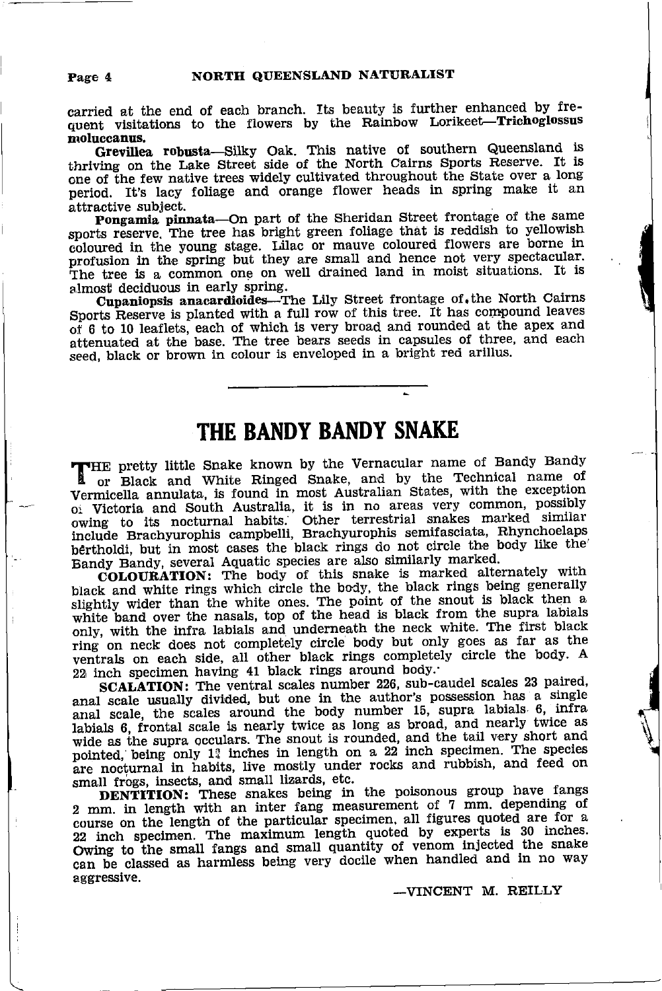carried at the end of each branch. Its beauty is further enhanced by frequent visitations to the flowers by the Rainbow Lorikeet-Trichoglossus moluccanus.

Grevillea robusta—Silky Oak. This native of southern Queensland is thriving on the Lake Street side of the North Cairns Sports Reserve. It is one of the few native trees widely cultivated throughout the State over a long period. It's lacy foliage and orange flower heads in spring make it an attractive subject.

Pongamia pinnata-On part of the Sheridan Street frontage of the same sports reserve. The tree has bright green foliage that is reddish to yellowish coloured in the young stage. Lilac or mauve coloured flowers are borne in profusion in the spring but they are small and hence not very spectacular. The tree is a common one on well drained land in moist situations. It is almost deciduous in early spring.

Cupaniopsis anacardioides-The Lily Street frontage of. the North Cairns Sports Reserve is planted with a full row of this tree. It has compound leaves of 6 to 10 leaflets, each of which is very broad and rounded at the apex and attenuated at the base. The tree bears seeds in capsules of three, and each seed, black or brown in colour is enveloped in a bright red arillus.

### THE BANDY BANDY SNAKE

THE pretty little Snake known by the Vernacular name of Bandy Bandy or Black and White Ringed Snake, and by the Technical name of Vermicella annulata, is found in most Australian States, with the exception 01 Victoria and South Australia, it is in no areas very common, possibly coving to its nocturnal habits. Other terrestrial snakes marked similar include Brachyurophis campbelli, Brachyurophis semifasciata, Rhynchoelaps bertholdi, but in most cases the black rings do not circle the body like the Bandy Bandy, several Aquatic species are also similarly marked.

COLOURATION: The body of this snake is marked alternately with black and white rings which circle the body, the black rings being generally slightly wider than the white ones. The point of the snout is black then a white band over the nasals, top of the head is black from the supra labials only, with the infra labials and underneath the neck white. The first black ring on neck does not completely circle body but only goes as far as the ventrals on each side, all other black rings completely circle the body. A 22 inch specimen having 41 black rings around body.

SCALATION: The ventral scales number 226, sub-caudel scales 23 paired, anal scale usually divided, but one in the author's possession has a single anal scale, the scales around the body number 15, supra labials 6, infra labials 6, frontal scale is nearly twice as long as broad, and nearly twice as wide as the supra occulars. The snout is rounded, and the tail very short and pointed, being only 1<sup>2</sup> inches in length on a 22 inch specimen. The species are nocturnal in habits, live mostly under rocks and rubbish, and feed on small frogs, insects, and small lizards, etc.

DENTITION: These snakes being in the poisonous group have fangs 2 mm. in length with an inter fang measurement of 7 mm. depending of course on the length of the particular specimen, all figures quoted are for a 22 inch specimen. The maximum length quoted by experts is 30 inches. Owing to the small fangs and small quantity of venom injected the snake can be classed as harmless being very docile when handled and in no way aggressive.

-VINCENT M. REILLY

Page 4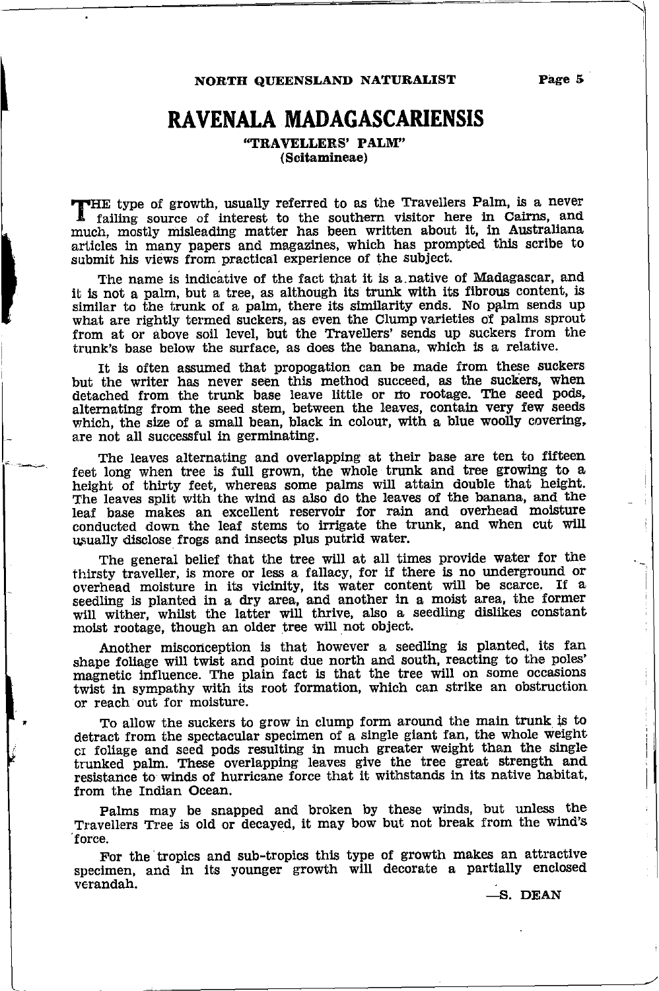NORTH QUEENSLAND NATURALIST

## RAVENALA MADAGASCARIENSIS

"TRAVELLERS' PALM" (Scitamineae)

THE type of growth, usually referred to as the Travellers Palm, is a never traffling source of interest to the southern visitor here in Cairns, and much, mostly misleading matter has been written about it, in Australiana articles in many papers and magazines, which has prompted this scribe to submit his views from practical experience of the subject.

The name is indicative of the fact that it is a native of Madagascar, and it is not a palm, but a tree, as although its trunk with its fibrous content, is similar to the trunk of a palm, there its similarity ends. No palm sends up what are rightly termed suckers, as even the Clump varleties of palms sprout from at or above soil level, but the TTavellers' sends up suckers from the trunk's base below the surface, as does the banana, which is a relative.

It is often assumed that propogation can be made from these suckers but the writer has never seen this method succeed, as the suckers, when detached from the trunk base leave little or no rootage. The seed pods, alternating from the seed stem, between the leaves, contah very few seeds which, the size of a small bean, black in colour, with a blue woolly covering, are not all successful in germinating.

The leaves alternating and overlapping at their base are ten to fifteen feet long when tree is full grown, the whole trunk and tree growing to <sup>a</sup> height of thirty feet, whereas some palms will attain double that height. The leaves split with the wind as also do the leaves of the banana, and the leaf base makes an excellent reservoir for rain and overhead moisture conducted down the leaf stems to irrigate the trunk, and when cut will r.usually dlsclose frogs and insects plus putrld water.

The general belief that the tree will at all times provide water for the thirsty traveller, is more or less a fallacy, for if there is no underground or overhead molsture in its vicinity, its water content will be scarce. If <sup>a</sup> seedling is planted in a dry area, and another in a moist area, the former will wither, whilst the latter will thrive, also a seedling dislikes constant moist rootage, though an older tree will not object.

Another misconception is that however a seedling is planted, its fan shape foliage will twist and point due north and south, reacting to the poles' magnetic influence. The plain fact is that the tree will on some occasions twiat in sympathy with its root formation, which can strike an obstruction or reach out for molsture.

To allow the suckers to grow in clump form around the main trunk is to detract from the spectacular specimen of a single giant fan, the whole  ${\rm weight}$ cr foliage and seed pods resulting in much greater weight than the single trunked palm. These overlapping leaves give the tree great strength and resistance to winds of hurricane force that it withstands in its native habitat, from the Indian Ocean.

Palms may be snapped and broken by these winds, but unless the Travellers Tree is old of decayed, ii may bow but not break from the wind's 'force.

For the tropics and sub-tropics this type of growth makes an attractive specimen, and in its younger growth will decorate a partially enclosed verandah'

-s. DEAN

#### Page 5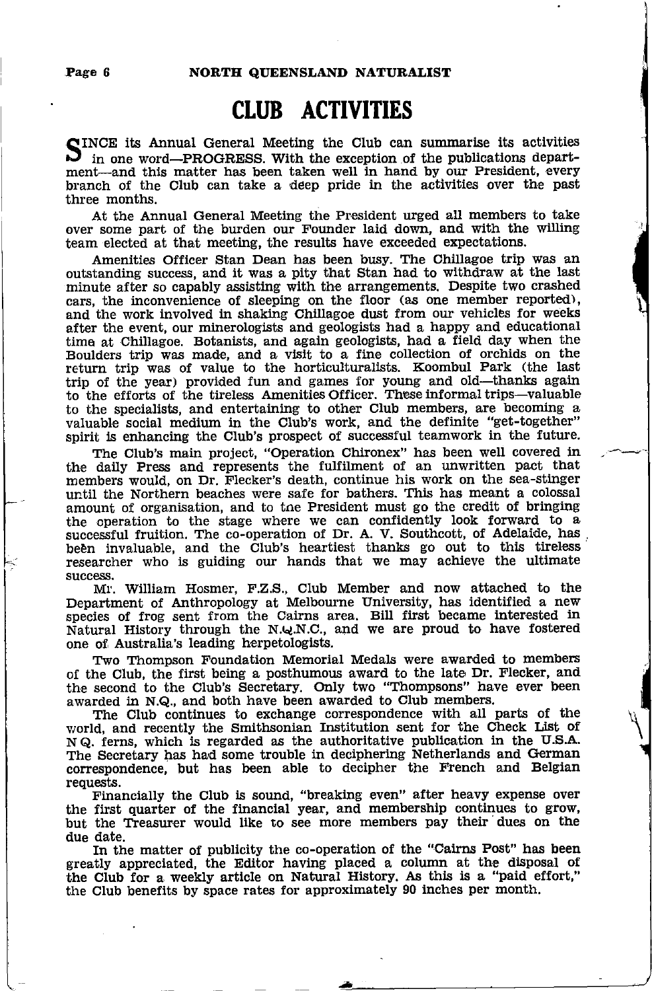# CLUB ACTIVITIES

SINCE its Annual General Meeting the Club can summarise its activities<br>In ane word—PPOGPESS, With the exception of the publications departin one word-PROGRESS. With the exception of the publications department-and this matter has been taken well in hand by our President, every branch of the Club can take a deep pride ln the actlvities over the past three months.

At the Annual General Meeting the President urged all members to take over some part of the burden our Founder laid down, and with the willing team elected at that meeting, the results have exceeded expectations.

Amenities Officer Stan Dean has been busy. The Chillagoe trip was an outstanding success, and it was a pity that Stan had to withdraw at the last minute after so capably assisting with the arrangements, Despite two crashed cars, the inconvenience of sleeping on the floor (as one member reported), and the work involved in shaking Chillagoe dust from our vehicles for weeks after the event, our minerologists and geologists had a happy and educational time at Chillagoe. Botanists, and again geologists, had a field day when the Boulders trip was made, and a visit to a fine collection of orchids on the return trip was of value to the horticulturalists. Koombul Park (the last trip of the year) provided fun and games for young and old-thanks again to the efforts of the tireless Amenities Officer. These informal trips-valuable to the specialists, and entertaining to other club members, are becoming a valuable social medium in the Club's work, and the definite "get-together" spirit is enhancing the Club's prospect of successful teamwork in the future.

The Club's main project, "Operation Chironex" has been well covered in the daily Press and represents the fulfilment of an unwritten pact that members would, on Dr. Flecker's death, continue his work on the sea-stinger until the Northern beaches were safe for bathers. This has meant a colossal amount of organisation, and to the President must go the credit of bringing amount or organisation, that we can confidently look forward to a successful fruition. The co-operation of Dr. A. V. Southcott, of Adelaide, has been invaluable, and the Club's heartiest thanks go out to this tireless researcher who is guiding our hands that we may achleve the ultimate success.

Mt'. William Hosmer, F.Z.S., Club Member and now attached to the Department of Anthropology at Melbourne University, has identified a new<br>species of frog sent from the Cairns area. Bill first became interested in Natural History through the N.Q.N.C., and we are proud to have fostered one of Australia's leading herpetologists.

Two Thompson Foundation Memorial Medals were awarded to members of the Club, the first being a posthumous award to the late Dr. Flecker, and the second to the Club's Secretary. only two "Thompsons" have ever been awarded in N.Q., and both have been awarded to Club members.

The Club continues to exchange correspondence with all parts of the world, and recently the Smithsonian Institution sent for the Check List of <sup>N</sup>Q. ferns, which is regarded as the authoritative publlcation in the U.S.A,' The Secretary has had some trouble in deciphering Netherlands and German correspondence, but has been able to decipher the French and Belgian requests.

Financially the Club is sound, "breaking even" after heavy expense over the first quarter of the financial year, and membership continues to grow, but the Treasurer would like to see more members pay their dues on the due date.

In the matter of publicity the co-operation of the "Cairns Post" has been greatly appreciated, the Editor having placed a column at the disposal of the Club for a weekly artlcle on Natural History. As thls ls a "paid effort," the Club beneflts by space rates for approximately 90 inches per month.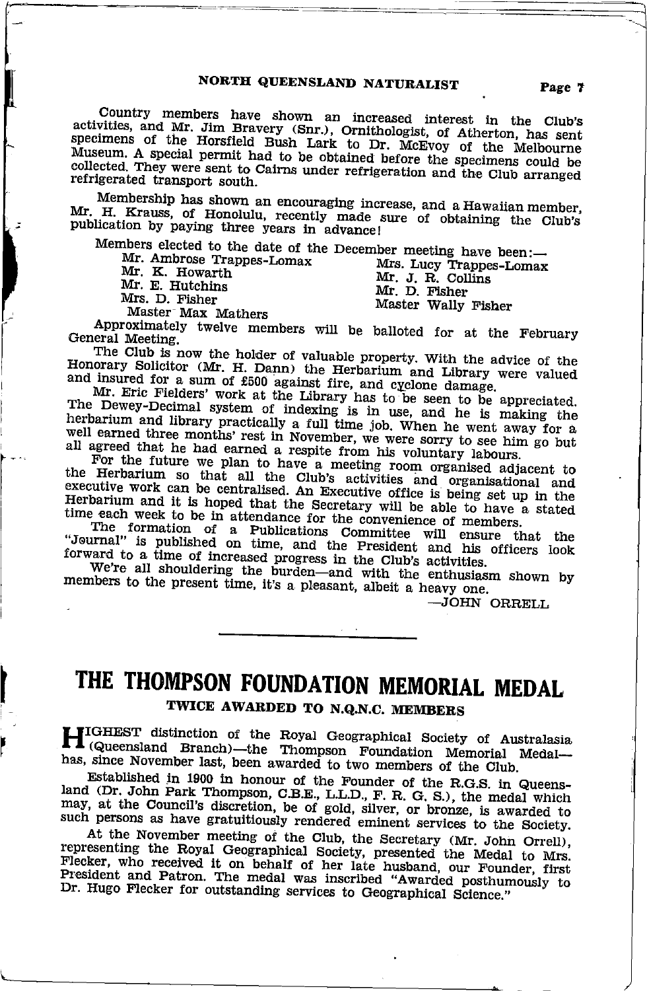### NORTH QUEENSLAND NATURALIST

Country members have shown an increased interest in the Club's activities, and Mr. Jim Bravery (Snr.), Ornithologist, of Atherton, has sent specimens of the Horsfield Bush Lark to Dr. McEvoy of the Melbourne Museum. A special permit had to be obtained before the specimens could be collected. They were sent to Cairns under refrigeration and the Club arranged refrigerated transport south.

Membership has shown an encouraging increase, and a Hawaiian member, Mr. H. Krauss, of Honolulu, recently made sure of obtaining the Club's publication by paying three years in advance!

Members elected to the date of the December meeting have been:-

Mr. Ambrose Trappes-Lomax Mr. K. Howarth Mr. E. Hutchins Mrs. D. Fisher

Mrs. Lucy Trappes-Lomax<br>Mr. J. R. Collins<br>Mr. D. Fisher Master Wally Fisher

Master Max Mathers

Approximately twelve members will be balloted for at the February General Meeting.

The Club is now the holder of valuable property. With the advice of the Honorary Solicitor (Mr. H. Dann) the Herbarium and Library were valued and insured for a sum of £500 against fire, and cyclone damage.

Mr. Eric Fielders' work at the Library has to be seen to be appreciated. The Dewey-Decimal system of indexing is in use, and he is making the herbarium and library practically a full time job. When he went away for a well earned three months' rest in November, we were sorry to see him go but all agreed that he had earned a respite from his voluntary labours.

For the future we plan to have a meeting room organised adjacent to<br>the Herbarium so that all the Club's activities and organisational and<br>executive work can be centralised. An Executive office is being set up in the Herbarium and it is hoped that the Secretary will be able to have a stated time each week to be in attendance for the convenience of members.

The formation of a Publications Committee will ensure that the "Jeurnal" is published on time, and the President and his officers look forward to a time of increased progress in the Club's activities.

We're all shouldering the burden-and with the enthusiasm shown by members to the present time, it's a pleasant, albeit a heavy one.

-JOHN ORRELL

# THE THOMPSON FOUNDATION MEMORIAL MEDAL TWICE AWARDED TO N.Q.N.C. MEMBERS

HIGHEST distinction of the Royal Geographical Society of Australasia<br>(Queensland Branch)—the Thompson Foundation Memorial Medal has, since November last, been awarded to two members of the Club.

Established in 1900 in honour of the Founder of the R.G.S. in Queensland (Dr. John Park Thompson, C.B.E., L.L.D., F. R. G. S.), the medal which may, at the Council's discretion, be of gold, silver, or bronze, is awarded to such persons as have gratuitiously rendered eminent services to the Society.

At the November meeting of the Club, the Secretary (Mr. John Orrell), representing the Royal Geographical Society, presented the Medal to Mrs. Flecker, who received it on behalf of her late husband, our Founder, first President and Patron. The medal was inscribed "Awarded posthumously to Dr. Hugo Flecker for outstanding services to Geographical Science."

Page 7